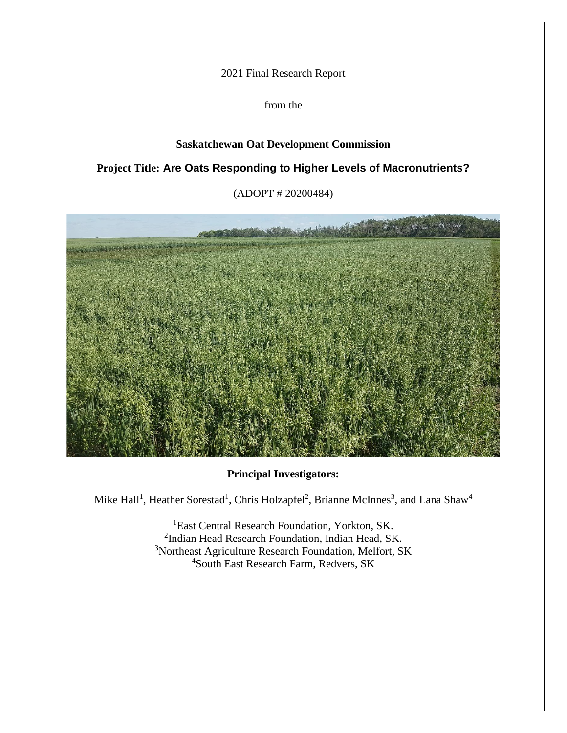2021 Final Research Report

from the

# **Saskatchewan Oat Development Commission**

# **Project Title: Are Oats Responding to Higher Levels of Macronutrients?**

(ADOPT # 20200484)



# **Principal Investigators:**

Mike Hall<sup>1</sup>, Heather Sorestad<sup>1</sup>, Chris Holzapfel<sup>2</sup>, Brianne McInnes<sup>3</sup>, and Lana Shaw<sup>4</sup>

<sup>1</sup>East Central Research Foundation, Yorkton, SK. <sup>2</sup>Indian Head Research Foundation, Indian Head, SK. <sup>3</sup>Northeast Agriculture Research Foundation, Melfort, SK <sup>4</sup>South East Research Farm, Redvers, SK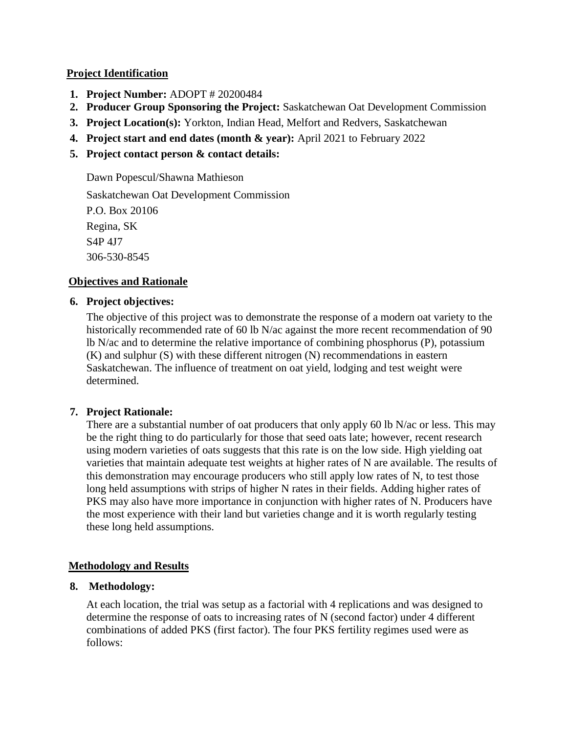### **Project Identification**

- **1. Project Number:** ADOPT # 20200484
- **2. Producer Group Sponsoring the Project:** Saskatchewan Oat Development Commission
- **3. Project Location(s):** Yorkton, Indian Head, Melfort and Redvers, Saskatchewan
- **4. Project start and end dates (month & year):** April 2021 to February 2022
- **5. Project contact person & contact details:**

Dawn Popescul/Shawna Mathieson Saskatchewan Oat Development Commission P.O. Box 20106 Regina, SK S4P 4J7 306-530-8545

# **Objectives and Rationale**

# **6. Project objectives:**

The objective of this project was to demonstrate the response of a modern oat variety to the historically recommended rate of 60 lb N/ac against the more recent recommendation of 90 lb N/ac and to determine the relative importance of combining phosphorus (P), potassium (K) and sulphur (S) with these different nitrogen (N) recommendations in eastern Saskatchewan. The influence of treatment on oat yield, lodging and test weight were determined.

# **7. Project Rationale:**

There are a substantial number of oat producers that only apply 60 lb N/ac or less. This may be the right thing to do particularly for those that seed oats late; however, recent research using modern varieties of oats suggests that this rate is on the low side. High yielding oat varieties that maintain adequate test weights at higher rates of N are available. The results of this demonstration may encourage producers who still apply low rates of N, to test those long held assumptions with strips of higher N rates in their fields. Adding higher rates of PKS may also have more importance in conjunction with higher rates of N. Producers have the most experience with their land but varieties change and it is worth regularly testing these long held assumptions.

# **Methodology and Results**

# **8. Methodology:**

At each location, the trial was setup as a factorial with 4 replications and was designed to determine the response of oats to increasing rates of N (second factor) under 4 different combinations of added PKS (first factor). The four PKS fertility regimes used were as follows: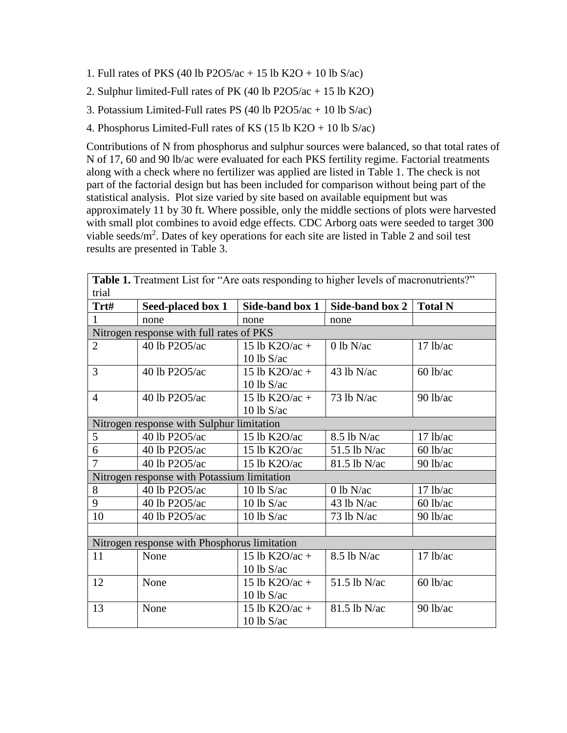- 1. Full rates of PKS (40 lb P2O5/ac + 15 lb K2O + 10 lb S/ac)
- 2. Sulphur limited-Full rates of PK (40 lb P2O5/ac + 15 lb K2O)
- 3. Potassium Limited-Full rates PS (40 lb P2O5/ac + 10 lb S/ac)
- 4. Phosphorus Limited-Full rates of KS (15 lb K2O + 10 lb S/ac)

Contributions of N from phosphorus and sulphur sources were balanced, so that total rates of N of 17, 60 and 90 lb/ac were evaluated for each PKS fertility regime. Factorial treatments along with a check where no fertilizer was applied are listed in Table 1. The check is not part of the factorial design but has been included for comparison without being part of the statistical analysis. Plot size varied by site based on available equipment but was approximately 11 by 30 ft. Where possible, only the middle sections of plots were harvested with small plot combines to avoid edge effects. CDC Arborg oats were seeded to target 300 viable seeds/m<sup>2</sup>. Dates of key operations for each site are listed in Table 2 and soil test results are presented in Table 3.

| <b>Table 1.</b> Treatment List for "Are oats responding to higher levels of macronutrients?" |                                              |                  |                 |                |  |  |  |
|----------------------------------------------------------------------------------------------|----------------------------------------------|------------------|-----------------|----------------|--|--|--|
| trial                                                                                        |                                              |                  |                 |                |  |  |  |
| Trt#                                                                                         | Seed-placed box 1                            | Side-band box 1  | Side-band box 2 | <b>Total N</b> |  |  |  |
| 1                                                                                            | none                                         | none             | none            |                |  |  |  |
| Nitrogen response with full rates of PKS                                                     |                                              |                  |                 |                |  |  |  |
| $\overline{2}$                                                                               | 40 lb P2O5/ac                                | 15 lb K2O/ac +   | $0$ lb N/ac     | $17$ lb/ac     |  |  |  |
|                                                                                              |                                              | 10 lb $S/ac$     |                 |                |  |  |  |
| 3                                                                                            | 40 lb P2O5/ac                                | 15 lb $K2O/ac +$ | $43$ lb N/ac    | $60$ lb/ac     |  |  |  |
|                                                                                              |                                              | $10$ lb S/ac     |                 |                |  |  |  |
| $\overline{4}$                                                                               | 40 lb P2O5/ac                                | 15 lb K2O/ac +   | $73$ lb N/ac    | $90$ lb/ac     |  |  |  |
|                                                                                              |                                              | $10$ lb S/ac     |                 |                |  |  |  |
|                                                                                              | Nitrogen response with Sulphur limitation    |                  |                 |                |  |  |  |
| 5                                                                                            | 40 lb P2O5/ac                                | 15 lb $K2O$ /ac  | $8.5$ lb N/ac   | 17 lb/ac       |  |  |  |
| 6                                                                                            | 40 lb P2O5/ac                                | 15 lb $K2O$ /ac  | 51.5 lb N/ac    | $60$ lb/ac     |  |  |  |
| $\overline{7}$                                                                               | 40 lb P2O5/ac                                | 15 lb K2O/ac     | 81.5 lb N/ac    | 90 lb/ac       |  |  |  |
|                                                                                              | Nitrogen response with Potassium limitation  |                  |                 |                |  |  |  |
| 8                                                                                            | 40 lb P2O5/ac                                | 10 lb $S/ac$     | $0$ lb N/ac     | $17$ lb/ac     |  |  |  |
| 9                                                                                            | 40 lb P2O5/ac                                | 10 lb $S/ac$     | $43$ lb N/ac    | $60$ lb/ac     |  |  |  |
| 10                                                                                           | 40 lb P2O5/ac                                | $10$ lb S/ac     | 73 lb N/ac      | $90$ lb/ac     |  |  |  |
|                                                                                              |                                              |                  |                 |                |  |  |  |
|                                                                                              | Nitrogen response with Phosphorus limitation |                  |                 |                |  |  |  |
| 11                                                                                           | None                                         | 15 lb K2O/ac +   | $8.5$ lb N/ac   | $17$ lb/ac     |  |  |  |
|                                                                                              |                                              | $10$ lb S/ac     |                 |                |  |  |  |
| 12                                                                                           | None                                         | 15 lb K2O/ac +   | 51.5 lb N/ac    | $60$ lb/ac     |  |  |  |
|                                                                                              |                                              | $10$ lb S/ac     |                 |                |  |  |  |
| 13                                                                                           | None                                         | 15 lb K2O/ac +   | 81.5 lb N/ac    | $90$ lb/ac     |  |  |  |
|                                                                                              |                                              | $10$ lb S/ac     |                 |                |  |  |  |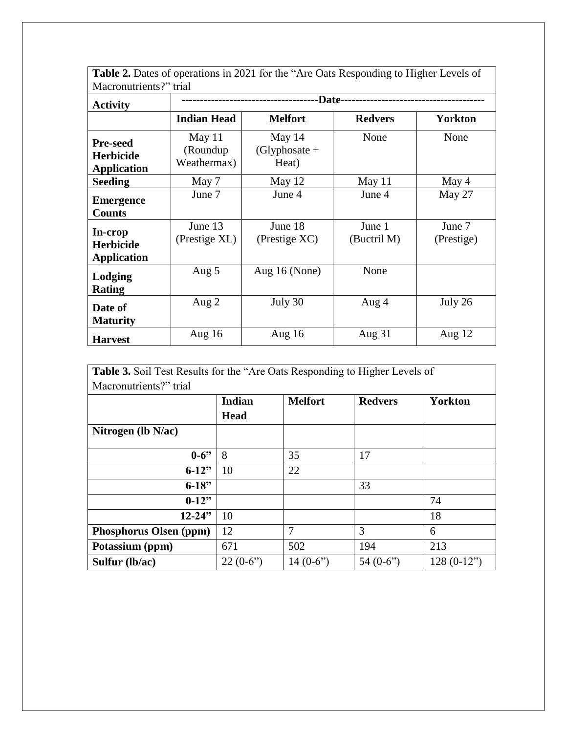| Table 2. Dates of operations in 2021 for the "Are Oats Responding to Higher Levels of |                                    |                                    |                       |                      |  |  |  |
|---------------------------------------------------------------------------------------|------------------------------------|------------------------------------|-----------------------|----------------------|--|--|--|
| Macronutrients?" trial                                                                |                                    |                                    |                       |                      |  |  |  |
| <b>Activity</b>                                                                       | -Date-                             |                                    |                       |                      |  |  |  |
|                                                                                       | <b>Indian Head</b>                 | <b>Melfort</b>                     | <b>Redvers</b>        | <b>Yorkton</b>       |  |  |  |
| <b>Pre-seed</b><br><b>Herbicide</b><br><b>Application</b>                             | May 11<br>(Roundup)<br>Weathermax) | May 14<br>$(Glyphosate +$<br>Heat) | None                  | None                 |  |  |  |
| <b>Seeding</b>                                                                        | May 7                              | May 12                             | May 11                | May 4                |  |  |  |
| <b>Emergence</b><br><b>Counts</b>                                                     | June 7                             | June 4                             | June 4                | May 27               |  |  |  |
| In-crop<br><b>Herbicide</b><br><b>Application</b>                                     | June 13<br>(Prestige XL)           | June 18<br>(Prestige XC)           | June 1<br>(Buctril M) | June 7<br>(Prestige) |  |  |  |
| Lodging<br><b>Rating</b>                                                              | Aug 5                              | Aug $16$ (None)                    | None                  |                      |  |  |  |
| Date of<br><b>Maturity</b>                                                            | Aug $2$                            | July 30                            | Aug 4                 | July 26              |  |  |  |
| <b>Harvest</b>                                                                        | Aug $16$                           | Aug $16$                           | Aug $31$              | Aug $12$             |  |  |  |

| <b>Table 3.</b> Soil Test Results for the "Are Oats Responding to Higher Levels of |             |                |                |                |  |
|------------------------------------------------------------------------------------|-------------|----------------|----------------|----------------|--|
| Macronutrients?" trial                                                             |             |                |                |                |  |
|                                                                                    | Indian      | <b>Melfort</b> | <b>Redvers</b> | <b>Yorkton</b> |  |
|                                                                                    | <b>Head</b> |                |                |                |  |
| Nitrogen (lb $N$ /ac)                                                              |             |                |                |                |  |
| $0 - 6$                                                                            | 8           | 35             | 17             |                |  |
| $6-12"$                                                                            | 10          | 22             |                |                |  |
| $6 - 18"$                                                                          |             |                | 33             |                |  |
| $0-12"$                                                                            |             |                |                | 74             |  |
| $12 - 24"$                                                                         | 10          |                |                | 18             |  |
| Phosphorus Olsen (ppm)                                                             | 12          | 7              | 3              | 6              |  |
| Potassium (ppm)                                                                    | 671         | 502            | 194            | 213            |  |
| Sulfur (lb/ac)                                                                     | $22(0-6")$  | 14 $(0-6)$     | 54 $(0-6)$     | $128(0-12")$   |  |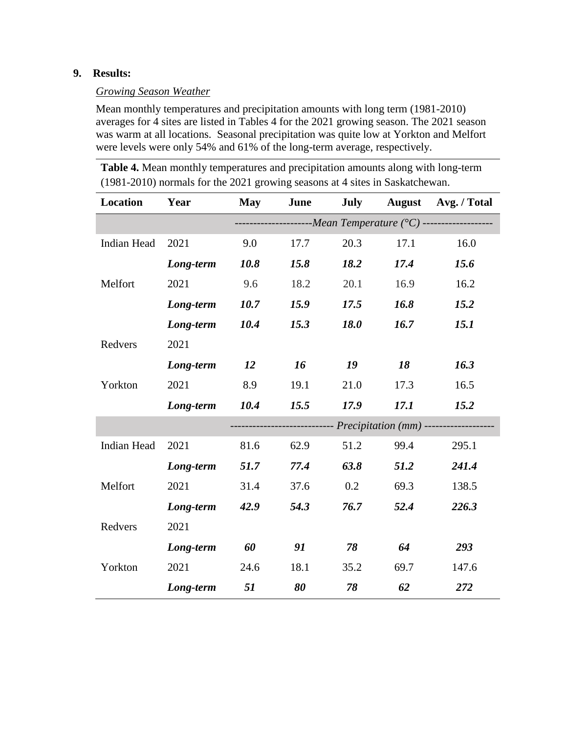### **9. Results:**

#### *Growing Season Weather*

Mean monthly temperatures and precipitation amounts with long term (1981-2010) averages for 4 sites are listed in Tables 4 for the 2021 growing season. The 2021 season was warm at all locations. Seasonal precipitation was quite low at Yorkton and Melfort were levels were only 54% and 61% of the long-term average, respectively.

**Table 4.** Mean monthly temperatures and precipitation amounts along with long-term (1981-2010) normals for the 2021 growing seasons at 4 sites in Saskatchewan.

| <b>Location</b>    | Year      | <b>May</b>                                                       | June | <b>July</b> | <b>August</b> | Avg. / Total                                               |
|--------------------|-----------|------------------------------------------------------------------|------|-------------|---------------|------------------------------------------------------------|
|                    |           | ----------------------Mean Temperature (°C) -------------------- |      |             |               |                                                            |
| <b>Indian Head</b> | 2021      | 9.0                                                              | 17.7 | 20.3        | 17.1          | 16.0                                                       |
|                    | Long-term | 10.8                                                             | 15.8 | 18.2        | 17.4          | 15.6                                                       |
| Melfort            | 2021      | 9.6                                                              | 18.2 | 20.1        | 16.9          | 16.2                                                       |
|                    | Long-term | 10.7                                                             | 15.9 | 17.5        | 16.8          | 15.2                                                       |
|                    | Long-term | 10.4                                                             | 15.3 | <b>18.0</b> | 16.7          | 15.1                                                       |
| Redvers            | 2021      |                                                                  |      |             |               |                                                            |
|                    | Long-term | 12                                                               | 16   | 19          | 18            | 16.3                                                       |
| Yorkton            | 2021      | 8.9                                                              | 19.1 | 21.0        | 17.3          | 16.5                                                       |
|                    | Long-term | 10.4                                                             | 15.5 | 17.9        | 17.1          | 15.2                                                       |
|                    |           |                                                                  |      |             |               | ------------ <i>Precipitation</i> (mm) ------------------- |
| <b>Indian Head</b> | 2021      | 81.6                                                             | 62.9 | 51.2        | 99.4          | 295.1                                                      |
|                    | Long-term | 51.7                                                             | 77.4 | 63.8        | 51.2          | 241.4                                                      |
| Melfort            | 2021      | 31.4                                                             | 37.6 | 0.2         | 69.3          | 138.5                                                      |
|                    | Long-term | 42.9                                                             | 54.3 | 76.7        | 52.4          | 226.3                                                      |
| Redvers            | 2021      |                                                                  |      |             |               |                                                            |
|                    | Long-term | 60                                                               | 91   | 78          | 64            | 293                                                        |
| Yorkton            | 2021      | 24.6                                                             | 18.1 | 35.2        | 69.7          | 147.6                                                      |
|                    | Long-term | 51                                                               | 80   | 78          | 62            | 272                                                        |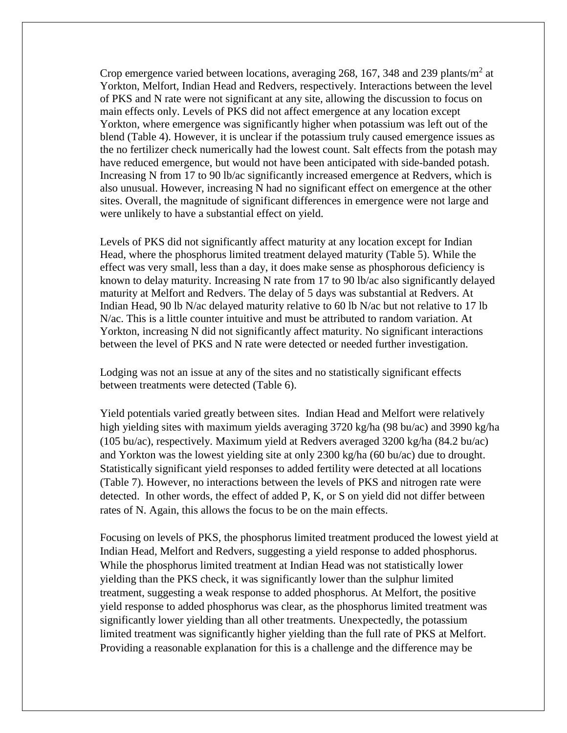Crop emergence varied between locations, averaging 268, 167, 348 and 239 plants/ $m<sup>2</sup>$  at Yorkton, Melfort, Indian Head and Redvers, respectively. Interactions between the level of PKS and N rate were not significant at any site, allowing the discussion to focus on main effects only. Levels of PKS did not affect emergence at any location except Yorkton, where emergence was significantly higher when potassium was left out of the blend (Table 4). However, it is unclear if the potassium truly caused emergence issues as the no fertilizer check numerically had the lowest count. Salt effects from the potash may have reduced emergence, but would not have been anticipated with side-banded potash. Increasing N from 17 to 90 lb/ac significantly increased emergence at Redvers, which is also unusual. However, increasing N had no significant effect on emergence at the other sites. Overall, the magnitude of significant differences in emergence were not large and were unlikely to have a substantial effect on yield.

Levels of PKS did not significantly affect maturity at any location except for Indian Head, where the phosphorus limited treatment delayed maturity (Table 5). While the effect was very small, less than a day, it does make sense as phosphorous deficiency is known to delay maturity. Increasing N rate from 17 to 90 lb/ac also significantly delayed maturity at Melfort and Redvers. The delay of 5 days was substantial at Redvers. At Indian Head, 90 lb N/ac delayed maturity relative to 60 lb N/ac but not relative to 17 lb N/ac. This is a little counter intuitive and must be attributed to random variation. At Yorkton, increasing N did not significantly affect maturity. No significant interactions between the level of PKS and N rate were detected or needed further investigation.

Lodging was not an issue at any of the sites and no statistically significant effects between treatments were detected (Table 6).

Yield potentials varied greatly between sites. Indian Head and Melfort were relatively high yielding sites with maximum yields averaging 3720 kg/ha (98 bu/ac) and 3990 kg/ha (105 bu/ac), respectively. Maximum yield at Redvers averaged 3200 kg/ha (84.2 bu/ac) and Yorkton was the lowest yielding site at only 2300 kg/ha (60 bu/ac) due to drought. Statistically significant yield responses to added fertility were detected at all locations (Table 7). However, no interactions between the levels of PKS and nitrogen rate were detected. In other words, the effect of added P, K, or S on yield did not differ between rates of N. Again, this allows the focus to be on the main effects.

Focusing on levels of PKS, the phosphorus limited treatment produced the lowest yield at Indian Head, Melfort and Redvers, suggesting a yield response to added phosphorus. While the phosphorus limited treatment at Indian Head was not statistically lower yielding than the PKS check, it was significantly lower than the sulphur limited treatment, suggesting a weak response to added phosphorus. At Melfort, the positive yield response to added phosphorus was clear, as the phosphorus limited treatment was significantly lower yielding than all other treatments. Unexpectedly, the potassium limited treatment was significantly higher yielding than the full rate of PKS at Melfort. Providing a reasonable explanation for this is a challenge and the difference may be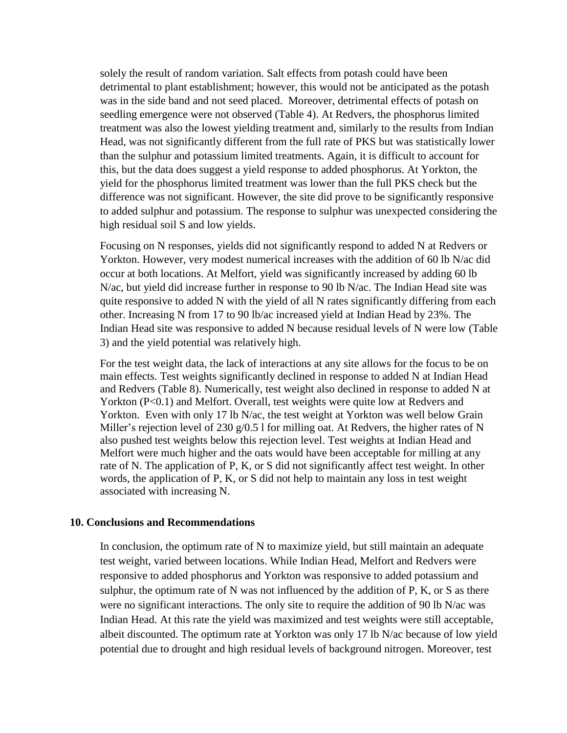solely the result of random variation. Salt effects from potash could have been detrimental to plant establishment; however, this would not be anticipated as the potash was in the side band and not seed placed. Moreover, detrimental effects of potash on seedling emergence were not observed (Table 4). At Redvers, the phosphorus limited treatment was also the lowest yielding treatment and, similarly to the results from Indian Head, was not significantly different from the full rate of PKS but was statistically lower than the sulphur and potassium limited treatments. Again, it is difficult to account for this, but the data does suggest a yield response to added phosphorus. At Yorkton, the yield for the phosphorus limited treatment was lower than the full PKS check but the difference was not significant. However, the site did prove to be significantly responsive to added sulphur and potassium. The response to sulphur was unexpected considering the high residual soil S and low yields.

Focusing on N responses, yields did not significantly respond to added N at Redvers or Yorkton. However, very modest numerical increases with the addition of 60 lb N/ac did occur at both locations. At Melfort, yield was significantly increased by adding 60 lb N/ac, but yield did increase further in response to 90 lb N/ac. The Indian Head site was quite responsive to added N with the yield of all N rates significantly differing from each other. Increasing N from 17 to 90 lb/ac increased yield at Indian Head by 23%. The Indian Head site was responsive to added N because residual levels of N were low (Table 3) and the yield potential was relatively high.

For the test weight data, the lack of interactions at any site allows for the focus to be on main effects. Test weights significantly declined in response to added N at Indian Head and Redvers (Table 8). Numerically, test weight also declined in response to added N at Yorkton (P<0.1) and Melfort. Overall, test weights were quite low at Redvers and Yorkton. Even with only 17 lb N/ac, the test weight at Yorkton was well below Grain Miller's rejection level of 230 g/0.5 l for milling oat. At Redvers, the higher rates of N also pushed test weights below this rejection level. Test weights at Indian Head and Melfort were much higher and the oats would have been acceptable for milling at any rate of N. The application of P, K, or S did not significantly affect test weight. In other words, the application of P, K, or S did not help to maintain any loss in test weight associated with increasing N.

#### **10. Conclusions and Recommendations**

In conclusion, the optimum rate of N to maximize yield, but still maintain an adequate test weight, varied between locations. While Indian Head, Melfort and Redvers were responsive to added phosphorus and Yorkton was responsive to added potassium and sulphur, the optimum rate of N was not influenced by the addition of P, K, or S as there were no significant interactions. The only site to require the addition of 90 lb N/ac was Indian Head. At this rate the yield was maximized and test weights were still acceptable, albeit discounted. The optimum rate at Yorkton was only 17 lb N/ac because of low yield potential due to drought and high residual levels of background nitrogen. Moreover, test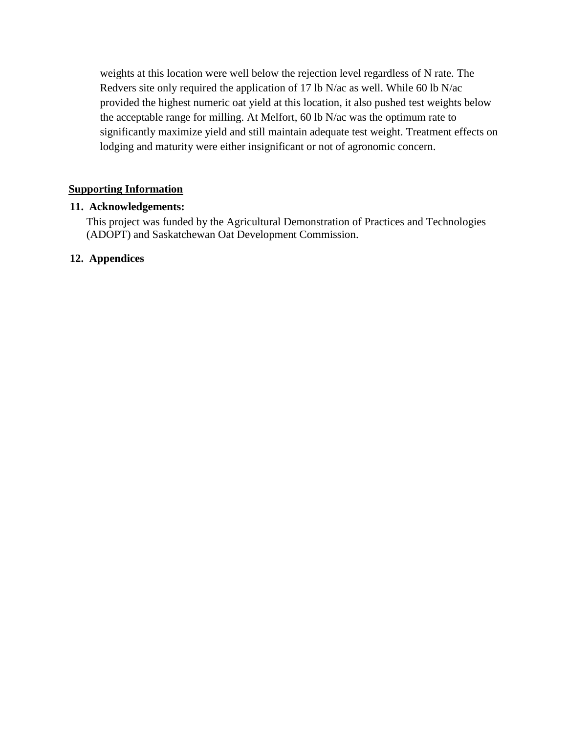weights at this location were well below the rejection level regardless of N rate. The Redvers site only required the application of 17 lb N/ac as well. While 60 lb N/ac provided the highest numeric oat yield at this location, it also pushed test weights below the acceptable range for milling. At Melfort, 60 lb N/ac was the optimum rate to significantly maximize yield and still maintain adequate test weight. Treatment effects on lodging and maturity were either insignificant or not of agronomic concern.

### **Supporting Information**

#### **11. Acknowledgements:**

This project was funded by the Agricultural Demonstration of Practices and Technologies (ADOPT) and Saskatchewan Oat Development Commission.

### **12. Appendices**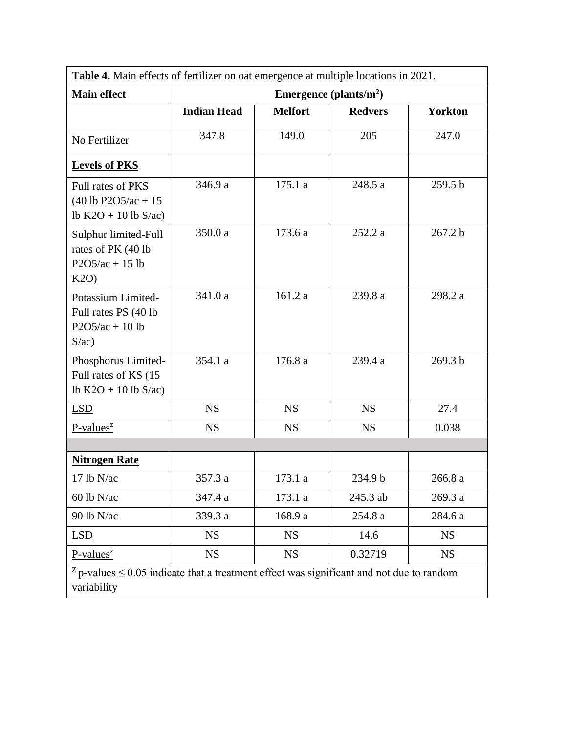| Table 4. Main effects of fertilizer on oat emergence at multiple locations in 2021.                            |                    |                |                           |                |  |  |
|----------------------------------------------------------------------------------------------------------------|--------------------|----------------|---------------------------|----------------|--|--|
| <b>Main effect</b>                                                                                             |                    |                | Emergence (plants/ $m2$ ) |                |  |  |
|                                                                                                                | <b>Indian Head</b> | <b>Melfort</b> | <b>Redvers</b>            | <b>Yorkton</b> |  |  |
| No Fertilizer                                                                                                  | 347.8              | 149.0          | 205                       | 247.0          |  |  |
| <b>Levels of PKS</b>                                                                                           |                    |                |                           |                |  |  |
| Full rates of PKS<br>$(40$ lb P2O5/ac + 15<br>lb K2O + 10 lb S/ac)                                             | 346.9 a            | 175.1 a        | 248.5 a                   | 259.5 b        |  |  |
| Sulphur limited-Full<br>rates of PK (40 lb<br>$P2O5/ac + 15 lb$<br>K2O                                         | 350.0 a            | 173.6 a        | 252.2 a                   | 267.2 b        |  |  |
| Potassium Limited-<br>Full rates PS (40 lb<br>$P2O5/ac + 10 lb$<br>S/ac)                                       | 341.0 a            | 161.2 a        | 239.8 a                   | 298.2 a        |  |  |
| Phosphorus Limited-<br>Full rates of KS (15<br>lb K2O + 10 lb S/ac)                                            | 354.1 a            | 176.8 a        | 239.4 a                   | 269.3 b        |  |  |
| <b>LSD</b>                                                                                                     | <b>NS</b>          | <b>NS</b>      | <b>NS</b>                 | 27.4           |  |  |
| $P-values^z$                                                                                                   | <b>NS</b>          | <b>NS</b>      | <b>NS</b>                 | 0.038          |  |  |
|                                                                                                                |                    |                |                           |                |  |  |
| <b>Nitrogen Rate</b>                                                                                           |                    |                |                           |                |  |  |
| 17 lb N/ac                                                                                                     | 357.3 a            | 173.1 a        | 234.9 b                   | 266.8 a        |  |  |
| 60 lb N/ac                                                                                                     | 347.4 a            | 173.1 a        | 245.3 ab                  | 269.3 a        |  |  |
| 90 lb N/ac                                                                                                     | 339.3 a            | 168.9 a        | 254.8 a                   | 284.6 a        |  |  |
| LSD                                                                                                            | <b>NS</b>          | <b>NS</b>      | 14.6                      | <b>NS</b>      |  |  |
| $P-values^z$                                                                                                   | <b>NS</b>          | <b>NS</b>      | 0.32719                   | <b>NS</b>      |  |  |
| $z$ p-values $\leq$ 0.05 indicate that a treatment effect was significant and not due to random<br>variability |                    |                |                           |                |  |  |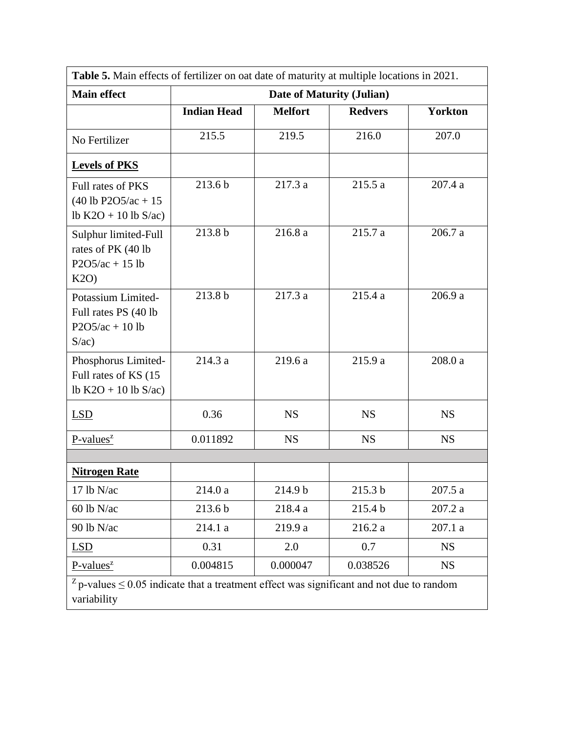|                                                                          | Table 5. Main effects of fertilizer on oat date of maturity at multiple locations in 2021.      |                |                |                |  |  |  |
|--------------------------------------------------------------------------|-------------------------------------------------------------------------------------------------|----------------|----------------|----------------|--|--|--|
| <b>Main effect</b><br>Date of Maturity (Julian)                          |                                                                                                 |                |                |                |  |  |  |
|                                                                          | <b>Indian Head</b>                                                                              | <b>Melfort</b> | <b>Redvers</b> | <b>Yorkton</b> |  |  |  |
| No Fertilizer                                                            | 215.5                                                                                           | 219.5          | 216.0          | 207.0          |  |  |  |
| <b>Levels of PKS</b>                                                     |                                                                                                 |                |                |                |  |  |  |
| Full rates of PKS<br>$(40$ lb P2O5/ac + 15<br>lb $K2O + 10$ lb $S/ac$ )  | 213.6b                                                                                          | 217.3 a        | 215.5a         | 207.4 a        |  |  |  |
| Sulphur limited-Full<br>rates of PK (40 lb<br>$P2O5/ac + 15 lb$<br>K2O   | 213.8 b                                                                                         | 216.8 a        | 215.7 a        | 206.7 a        |  |  |  |
| Potassium Limited-<br>Full rates PS (40 lb<br>$P2O5/ac + 10 lb$<br>S/ac) | 213.8 b                                                                                         | 217.3 a        | 215.4a         | 206.9 a        |  |  |  |
| Phosphorus Limited-<br>Full rates of KS (15<br>lb $K2O + 10$ lb $S/ac$ ) | 214.3 a                                                                                         | 219.6 a        | 215.9 a        | 208.0 a        |  |  |  |
| LSD                                                                      | 0.36                                                                                            | <b>NS</b>      | <b>NS</b>      | <b>NS</b>      |  |  |  |
| $P-values^z$                                                             | 0.011892                                                                                        | <b>NS</b>      | <b>NS</b>      | <b>NS</b>      |  |  |  |
| <b>Nitrogen Rate</b>                                                     |                                                                                                 |                |                |                |  |  |  |
| 17 lb N/ac                                                               | 214.0 a                                                                                         | 214.9 b        | 215.3 b        | 207.5 a        |  |  |  |
| 60 lb N/ac                                                               | 213.6 b                                                                                         | 218.4 a        | 215.4 b        | 207.2 a        |  |  |  |
| 90 lb N/ac                                                               | 214.1 a                                                                                         | 219.9 a        | 216.2a         | 207.1a         |  |  |  |
| LSD                                                                      | 0.31                                                                                            | 2.0            | 0.7            | <b>NS</b>      |  |  |  |
| $P-values^z$                                                             | 0.004815                                                                                        | 0.000047       | 0.038526       | <b>NS</b>      |  |  |  |
| variability                                                              | $z$ p-values $\leq$ 0.05 indicate that a treatment effect was significant and not due to random |                |                |                |  |  |  |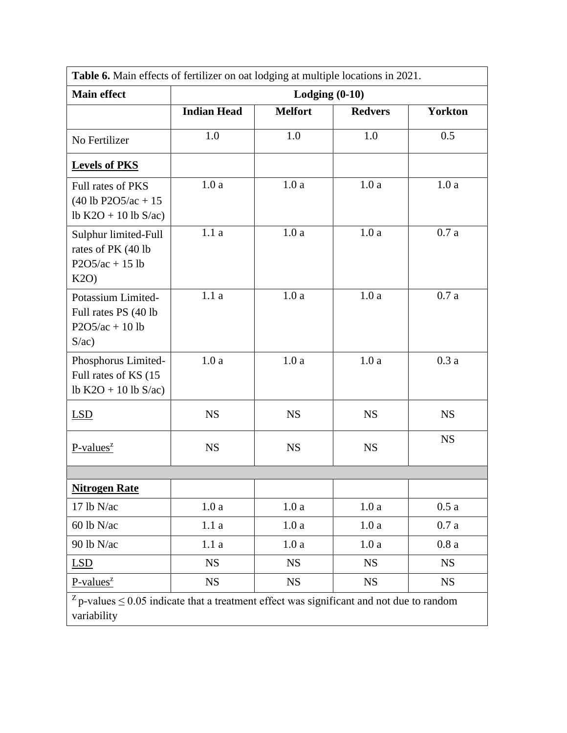| Table 6. Main effects of fertilizer on oat lodging at multiple locations in 2021.                              |                    |                  |                |                |  |  |
|----------------------------------------------------------------------------------------------------------------|--------------------|------------------|----------------|----------------|--|--|
| <b>Main effect</b>                                                                                             |                    | Lodging $(0-10)$ |                |                |  |  |
|                                                                                                                | <b>Indian Head</b> | <b>Melfort</b>   | <b>Redvers</b> | <b>Yorkton</b> |  |  |
| No Fertilizer                                                                                                  | 1.0                | 1.0              | 1.0            | 0.5            |  |  |
| <b>Levels of PKS</b>                                                                                           |                    |                  |                |                |  |  |
| Full rates of PKS<br>$(40 lb P2O5/ac + 15$<br>lb $K2O + 10$ lb $S/ac$ )                                        | 1.0a               | 1.0a             | 1.0a           | 1.0a           |  |  |
| Sulphur limited-Full<br>rates of PK (40 lb<br>$P2O5/ac + 15 lb$<br>K2O                                         | 1.1a               | 1.0a             | 1.0a           | 0.7a           |  |  |
| Potassium Limited-<br>Full rates PS (40 lb<br>$P2O5/ac + 10 lb$<br>S/ac)                                       | 1.1a               | 1.0a             | 1.0a           | 0.7a           |  |  |
| Phosphorus Limited-<br>Full rates of KS (15<br>lb $K2O + 10$ lb $S/ac$ )                                       | 1.0a               | 1.0a             | 1.0a           | 0.3a           |  |  |
| LSD                                                                                                            | <b>NS</b>          | <b>NS</b>        | <b>NS</b>      | <b>NS</b>      |  |  |
| $P-values^z$                                                                                                   | <b>NS</b>          | <b>NS</b>        | <b>NS</b>      | <b>NS</b>      |  |  |
|                                                                                                                |                    |                  |                |                |  |  |
| <b>Nitrogen Rate</b>                                                                                           |                    |                  |                |                |  |  |
| 17 lb N/ac                                                                                                     | 1.0a               | 1.0a             | 1.0a           | 0.5a           |  |  |
| 60 lb N/ac                                                                                                     | 1.1a               | 1.0a             | 1.0a           | 0.7a           |  |  |
| 90 lb N/ac                                                                                                     | 1.1a               | 1.0a             | 1.0a           | 0.8a           |  |  |
| <b>LSD</b>                                                                                                     | <b>NS</b>          | <b>NS</b>        | <b>NS</b>      | <b>NS</b>      |  |  |
| $P-values^z$                                                                                                   | <b>NS</b>          | <b>NS</b>        | <b>NS</b>      | <b>NS</b>      |  |  |
| $z$ p-values $\leq$ 0.05 indicate that a treatment effect was significant and not due to random<br>variability |                    |                  |                |                |  |  |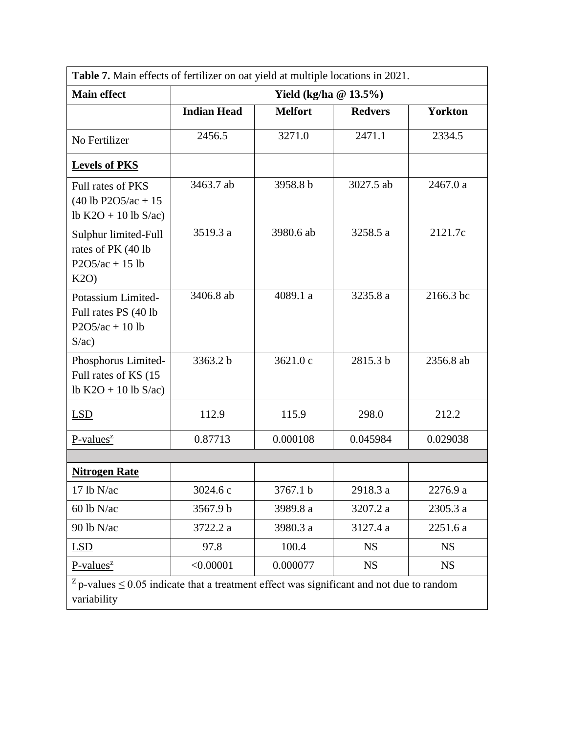|                                                                                                                | Table 7. Main effects of fertilizer on oat yield at multiple locations in 2021. |                          |                |                |  |  |  |
|----------------------------------------------------------------------------------------------------------------|---------------------------------------------------------------------------------|--------------------------|----------------|----------------|--|--|--|
| <b>Main effect</b>                                                                                             |                                                                                 | Yield (kg/ha $@13.5\%$ ) |                |                |  |  |  |
|                                                                                                                | <b>Indian Head</b>                                                              | <b>Melfort</b>           | <b>Redvers</b> | <b>Yorkton</b> |  |  |  |
| No Fertilizer                                                                                                  | 2456.5                                                                          | 3271.0                   | 2471.1         | 2334.5         |  |  |  |
| <b>Levels of PKS</b>                                                                                           |                                                                                 |                          |                |                |  |  |  |
| Full rates of PKS<br>$(40 \text{ lb } P2O5/\text{ac} + 15)$<br>lb $K2O + 10$ lb $S/ac$ )                       | 3463.7 ab                                                                       | 3958.8 b                 | 3027.5 ab      | 2467.0 a       |  |  |  |
| Sulphur limited-Full<br>rates of PK (40 lb<br>$P2O5/ac + 15 lb$<br>K2O                                         | 3519.3 a                                                                        | 3980.6 ab                | 3258.5 a       | 2121.7c        |  |  |  |
| Potassium Limited-<br>Full rates PS (40 lb)<br>$P2O5/ac + 10 lb$<br>S/ac)                                      | 3406.8 ab                                                                       | 4089.1 a                 | 3235.8 a       | 2166.3 bc      |  |  |  |
| Phosphorus Limited-<br>Full rates of KS (15)<br>lb K2O + 10 lb S/ac)                                           | 3363.2 b                                                                        | 3621.0 c                 | 2815.3 b       | 2356.8 ab      |  |  |  |
| <b>LSD</b>                                                                                                     | 112.9                                                                           | 115.9                    | 298.0          | 212.2          |  |  |  |
| $P-values^z$                                                                                                   | 0.87713                                                                         | 0.000108                 | 0.045984       | 0.029038       |  |  |  |
|                                                                                                                |                                                                                 |                          |                |                |  |  |  |
| <b>Nitrogen Rate</b>                                                                                           |                                                                                 |                          |                |                |  |  |  |
| 17 lb N/ac                                                                                                     | 3024.6 c                                                                        | 3767.1 b                 | 2918.3 a       | 2276.9 a       |  |  |  |
| $60$ lb N/ac                                                                                                   | 3567.9 b                                                                        | 3989.8 a                 | 3207.2 a       | 2305.3 a       |  |  |  |
| 90 lb N/ac                                                                                                     | 3722.2 a                                                                        | 3980.3 a                 | 3127.4 a       | 2251.6 a       |  |  |  |
| LSD                                                                                                            | 97.8                                                                            | 100.4                    | <b>NS</b>      | <b>NS</b>      |  |  |  |
| P-values <sup>z</sup>                                                                                          | < 0.00001                                                                       | 0.000077                 | <b>NS</b>      | <b>NS</b>      |  |  |  |
| $z$ p-values $\leq$ 0.05 indicate that a treatment effect was significant and not due to random<br>variability |                                                                                 |                          |                |                |  |  |  |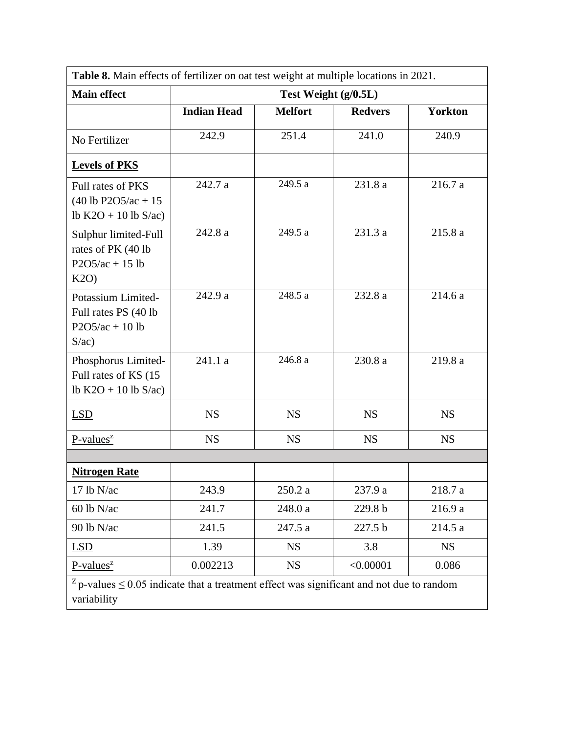|                                                                                                                | Table 8. Main effects of fertilizer on oat test weight at multiple locations in 2021. |                      |                |                |  |  |  |
|----------------------------------------------------------------------------------------------------------------|---------------------------------------------------------------------------------------|----------------------|----------------|----------------|--|--|--|
| <b>Main effect</b>                                                                                             |                                                                                       | Test Weight (g/0.5L) |                |                |  |  |  |
|                                                                                                                | <b>Indian Head</b>                                                                    | <b>Melfort</b>       | <b>Redvers</b> | <b>Yorkton</b> |  |  |  |
| No Fertilizer                                                                                                  | 242.9                                                                                 | 251.4                | 241.0          | 240.9          |  |  |  |
| <b>Levels of PKS</b>                                                                                           |                                                                                       |                      |                |                |  |  |  |
| Full rates of PKS<br>$(40$ lb P2O5/ac + 15<br>lb $K2O + 10$ lb $S/ac$ )                                        | 242.7 a                                                                               | 249.5 a              | 231.8 a        | 216.7 a        |  |  |  |
| Sulphur limited-Full<br>rates of PK (40 lb<br>$P2O5/ac + 15 lb$<br>K2O                                         | 242.8 a                                                                               | 249.5 a              | 231.3 a        | 215.8 a        |  |  |  |
| Potassium Limited-<br>Full rates PS (40 lb)<br>$P2O5/ac + 10 lb$<br>S/ac)                                      | 242.9 a                                                                               | 248.5 a              | 232.8 a        | 214.6 a        |  |  |  |
| Phosphorus Limited-<br>Full rates of KS (15<br>lb K2O + 10 lb S/ac)                                            | 241.1 a                                                                               | 246.8 a              | 230.8 a        | 219.8 a        |  |  |  |
| <b>LSD</b>                                                                                                     | <b>NS</b>                                                                             | <b>NS</b>            | <b>NS</b>      | <b>NS</b>      |  |  |  |
| $P-values^z$                                                                                                   | <b>NS</b>                                                                             | <b>NS</b>            | <b>NS</b>      | <b>NS</b>      |  |  |  |
| <b>Nitrogen Rate</b>                                                                                           |                                                                                       |                      |                |                |  |  |  |
| 17 lb N/ac                                                                                                     | 243.9                                                                                 | 250.2a               | 237.9 a        | 218.7 a        |  |  |  |
| $60$ lb N/ac                                                                                                   | 241.7                                                                                 | 248.0 a              | 229.8 b        | 216.9 a        |  |  |  |
| 90 lb N/ac                                                                                                     | 241.5                                                                                 | 247.5 a              | 227.5 b        | 214.5 a        |  |  |  |
| LSD                                                                                                            | 1.39                                                                                  | <b>NS</b>            | 3.8            | <b>NS</b>      |  |  |  |
| $P-values^z$                                                                                                   | 0.002213                                                                              | <b>NS</b>            | < 0.00001      | 0.086          |  |  |  |
| $z$ p-values $\leq$ 0.05 indicate that a treatment effect was significant and not due to random<br>variability |                                                                                       |                      |                |                |  |  |  |